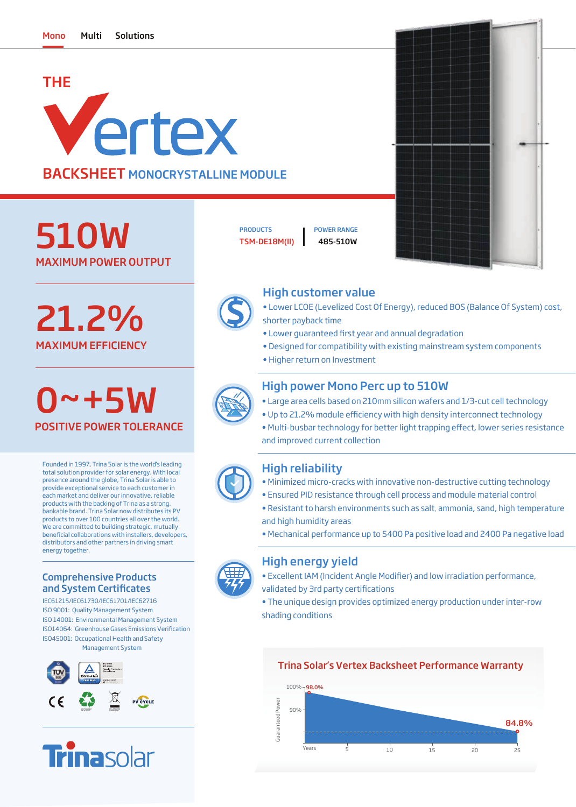# THE Vertex BACKSHEET MONOCRYSTALLINE MODULE

MAXIMUM POWER OUTPUT 510W

MAXIMUM EFFICIENCY 21.2%

0~+5W POSITIVE POWER TOLERANCE

Founded in 1997, Trina Solar is the world's leading total solution provider for solar energy. With local presence around the globe, Trina Solar is able to provide exceptional service to each customer in each market and deliver our innovative, reliable products with the backing of Trina as a strong, bankable brand. Trina Solar now distributes its PV products to over 100 countries all over the world. We are committed to building strategic, mutually beneficial collaborations with installers, developers, distributors and other partners in driving smart energy together.

#### Comprehensive Products and System Certificates

IEC61215/IEC61730/IEC61701/IEC62716 ISO 9001: Quality Management System ISO 14001: Environmental Management System ISO45001: Occupational Health and Safety Management System ISO14064: Greenhouse Gases Emissions Verification





TSM-DE18M(II) 485-510W PRODUCTS **I** POWER RANGE



## High customer value

- Lower LCOE (Levelized Cost Of Energy), reduced BOS (Balance Of System) cost, shorter payback time
- Lower guaranteed first year and annual degradation
- Designed for compatibility with existing mainstream system components
- Higher return on Investment



### High power Mono Perc up to 510W

- Large area cells based on 210mm silicon wafers and 1/3-cut cell technology
- Up to 21.2% module efficiency with high density interconnect technology
- Multi-busbar technology for better light trapping effect, lower series resistance and improved current collection

### High reliability

- Minimized micro-cracks with innovative non-destructive cutting technology
- Ensured PID resistance through cell process and module material control
- Resistant to harsh environments such as salt, ammonia, sand, high temperature and high humidity areas
- Mechanical performance up to 5400 Pa positive load and 2400 Pa negative load

#### High energy yield

- Excellent IAM (Incident Angle Modifier) and low irradiation performance, validated by 3rd party certifications
- The unique design provides optimized energy production under inter-row shading conditions